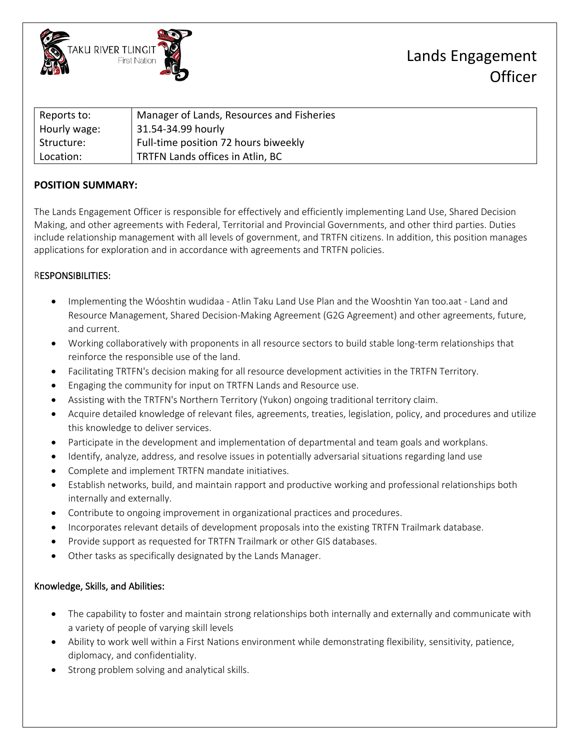

## Lands Engagement **Officer**

| Reports to:  | Manager of Lands, Resources and Fisheries |
|--------------|-------------------------------------------|
| Hourly wage: | 31.54-34.99 hourly                        |
| Structure:   | Full-time position 72 hours biweekly      |
| Location:    | TRTFN Lands offices in Atlin, BC          |

## **POSITION SUMMARY:**

The Lands Engagement Officer is responsible for effectively and efficiently implementing Land Use, Shared Decision Making, and other agreements with Federal, Territorial and Provincial Governments, and other third parties. Duties include relationship management with all levels of government, and TRTFN citizens. In addition, this position manages applications for exploration and in accordance with agreements and TRTFN policies.

### RESPONSIBILITIES:

- Implementing the Wóoshtin wudidaa Atlin Taku Land Use Plan and the Wooshtin Yan too.aat Land and Resource Management, Shared Decision-Making Agreement (G2G Agreement) and other agreements, future, and current.
- Working collaboratively with proponents in all resource sectors to build stable long-term relationships that reinforce the responsible use of the land.
- Facilitating TRTFN's decision making for all resource development activities in the TRTFN Territory.
- Engaging the community for input on TRTFN Lands and Resource use.
- Assisting with the TRTFN's Northern Territory (Yukon) ongoing traditional territory claim.
- Acquire detailed knowledge of relevant files, agreements, treaties, legislation, policy, and procedures and utilize this knowledge to deliver services.
- Participate in the development and implementation of departmental and team goals and workplans.
- Identify, analyze, address, and resolve issues in potentially adversarial situations regarding land use
- Complete and implement TRTFN mandate initiatives.
- Establish networks, build, and maintain rapport and productive working and professional relationships both internally and externally.
- Contribute to ongoing improvement in organizational practices and procedures.
- Incorporates relevant details of development proposals into the existing TRTFN Trailmark database.
- Provide support as requested for TRTFN Trailmark or other GIS databases.
- Other tasks as specifically designated by the Lands Manager.

### Knowledge, Skills, and Abilities:

- The capability to foster and maintain strong relationships both internally and externally and communicate with a variety of people of varying skill levels
- Ability to work well within a First Nations environment while demonstrating flexibility, sensitivity, patience, diplomacy, and confidentiality.
- Strong problem solving and analytical skills.